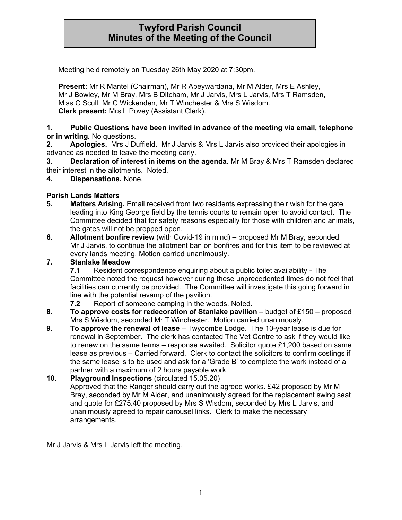# **Twyford Parish Council Minutes of the Meeting of the Council**

Meeting held remotely on Tuesday 26th May 2020 at 7:30pm.

**Present:** Mr R Mantel (Chairman), Mr R Abeywardana, Mr M Alder, Mrs E Ashley, Mr J Bowley, Mr M Bray, Mrs B Ditcham, Mr J Jarvis, Mrs L Jarvis, Mrs T Ramsden, Miss C Scull, Mr C Wickenden, Mr T Winchester & Mrs S Wisdom. **Clerk present:** Mrs L Povey (Assistant Clerk).

#### **1. Public Questions have been invited in advance of the meeting via email, telephone or in writing.** No questions.

**2. Apologies.** Mrs J Duffield. Mr J Jarvis & Mrs L Jarvis also provided their apologies in advance as needed to leave the meeting early.

**3. Declaration of interest in items on the agenda.** Mr M Bray & Mrs T Ramsden declared their interest in the allotments. Noted.

**4. Dispensations.** None.

# **Parish Lands Matters**

- **5. Matters Arising.** Email received from two residents expressing their wish for the gate leading into King George field by the tennis courts to remain open to avoid contact. The Committee decided that for safety reasons especially for those with children and animals, the gates will not be propped open.
- **6. Allotment bonfire review** (with Covid-19 in mind) proposed Mr M Bray, seconded Mr J Jarvis, to continue the allotment ban on bonfires and for this item to be reviewed at every lands meeting. Motion carried unanimously.

# **7. Stanlake Meadow**

**7.1** Resident correspondence enquiring about a public toilet availability - The Committee noted the request however during these unprecedented times do not feel that facilities can currently be provided. The Committee will investigate this going forward in line with the potential revamp of the pavilion.

- **7.2** Report of someone camping in the woods. Noted.
- **8. To approve costs for redecoration of Stanlake pavilion** budget of £150 proposed Mrs S Wisdom, seconded Mr T Winchester. Motion carried unanimously.
- **9**. **To approve the renewal of lease**  Twycombe Lodge. The 10-year lease is due for renewal in September. The clerk has contacted The Vet Centre to ask if they would like to renew on the same terms – response awaited. Solicitor quote £1,200 based on same lease as previous – Carried forward. Clerk to contact the solicitors to confirm costings if the same lease is to be used and ask for a 'Grade B' to complete the work instead of a partner with a maximum of 2 hours payable work.
- **10. Playground Inspections** (circulated 15.05.20)

Approved that the Ranger should carry out the agreed works. £42 proposed by Mr M Bray, seconded by Mr M Alder, and unanimously agreed for the replacement swing seat and quote for £275.40 proposed by Mrs S Wisdom, seconded by Mrs L Jarvis, and unanimously agreed to repair carousel links. Clerk to make the necessary arrangements.

Mr J Jarvis & Mrs L Jarvis left the meeting.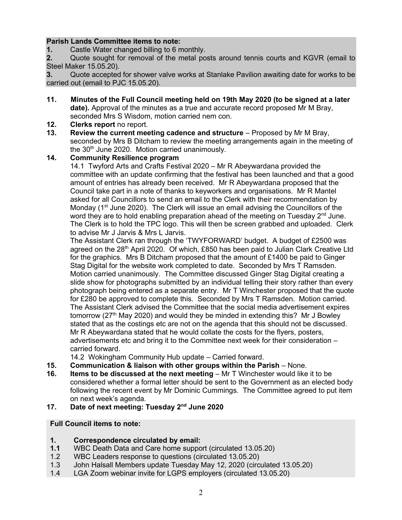# **Parish Lands Committee items to note:**

**1.** Castle Water changed billing to 6 monthly.<br>**2.** Quote sought for removal of the metal po

**2.** Quote sought for removal of the metal posts around tennis courts and KGVR (email to Steel Maker 15.05.20).

**3.** Quote accepted for shower valve works at Stanlake Pavilion awaiting date for works to be carried out (email to PJC 15.05.20).

**11. Minutes of the Full Council meeting held on 19th May 2020 (to be signed at a later date).** Approval of the minutes as a true and accurate record proposed Mr M Bray, seconded Mrs S Wisdom, motion carried nem con.

#### **12. Clerks report** no report.

**13. Review the current meeting cadence and structure** – Proposed by Mr M Bray, seconded by Mrs B Ditcham to review the meeting arrangements again in the meeting of the  $30<sup>th</sup>$  June 2020. Motion carried unanimously.

#### **14. Community Resilience program**

14.1 Twyford Arts and Crafts Festival 2020 – Mr R Abeywardana provided the committee with an update confirming that the festival has been launched and that a good amount of entries has already been received. Mr R Abeywardana proposed that the Council take part in a note of thanks to keyworkers and organisations. Mr R Mantel asked for all Councillors to send an email to the Clerk with their recommendation by Monday (1<sup>st</sup> June 2020). The Clerk will issue an email advising the Councillors of the word they are to hold enabling preparation ahead of the meeting on Tuesday  $2<sup>nd</sup>$  June. The Clerk is to hold the TPC logo. This will then be screen grabbed and uploaded. Clerk to advise Mr J Jarvis & Mrs L Jarvis.

The Assistant Clerk ran through the 'TWYFORWARD' budget. A budget of £2500 was agreed on the 28th April 2020. Of which, £850 has been paid to Julian Clark Creative Ltd for the graphics. Mrs B Ditcham proposed that the amount of  $£1400$  be paid to Ginger Stag Digital for the website work completed to date. Seconded by Mrs T Ramsden. Motion carried unanimously. The Committee discussed Ginger Stag Digital creating a slide show for photographs submitted by an individual telling their story rather than every photograph being entered as a separate entry. Mr T Winchester proposed that the quote for £280 be approved to complete this. Seconded by Mrs T Ramsden. Motion carried. The Assistant Clerk advised the Committee that the social media advertisement expires tomorrow ( $27<sup>th</sup>$  May 2020) and would they be minded in extending this? Mr J Bowley stated that as the costings etc are not on the agenda that this should not be discussed. Mr R Abeywardana stated that he would collate the costs for the flyers, posters, advertisements etc and bring it to the Committee next week for their consideration – carried forward.

14.2 Wokingham Community Hub update – Carried forward.

- **15. Communication & liaison with other groups within the Parish** None.
- **16. Items to be discussed at the next meeting** Mr T Winchester would like it to be considered whether a formal letter should be sent to the Government as an elected body following the recent event by Mr Dominic Cummings. The Committee agreed to put item on next week's agenda.
- **17. Date of next meeting: Tuesday 2nd June 2020**

# **Full Council items to note:**

# **1. Correspondence circulated by email:**

- **1.1** WBC Death Data and Care home support (circulated 13.05.20)
- 1.2 WBC Leaders response to questions (circulated 13.05.20)
- 1.3 John Halsall Members update Tuesday May 12, 2020 (circulated 13.05.20)
- 1.4 LGA Zoom webinar invite for LGPS employers (circulated 13.05.20)